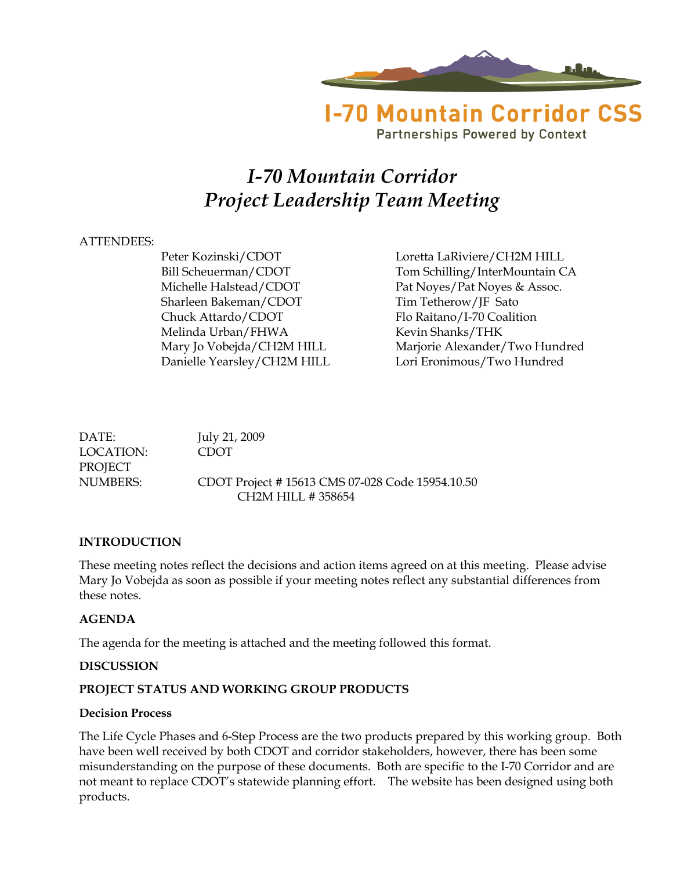

**Partnerships Powered by Context** 

# *I-70 Mountain Corridor Project Leadership Team Meeting*

#### ATTENDEES:

Sharleen Bakeman/CDOT Tim Tetherow/JF Sato Chuck Attardo/CDOT Flo Raitano/I-70 Coalition Melinda Urban/FHWA Kevin Shanks/THK

Peter Kozinski/CDOT Loretta LaRiviere/CH2M HILL Bill Scheuerman/CDOT Tom Schilling/InterMountain CA Michelle Halstead/CDOT Pat Noyes/Pat Noyes & Assoc. Mary Jo Vobejda/CH2M HILL Marjorie Alexander/Two Hundred Danielle Yearsley/CH2M HILL Lori Eronimous/Two Hundred

DATE: July 21, 2009 LOCATION: CDOT PROJECT NUMBERS: CDOT Project # 15613 CMS 07-028 Code 15954.10.50 CH2M HILL # 358654

#### **INTRODUCTION**

These meeting notes reflect the decisions and action items agreed on at this meeting. Please advise Mary Jo Vobejda as soon as possible if your meeting notes reflect any substantial differences from these notes.

#### **AGENDA**

The agenda for the meeting is attached and the meeting followed this format.

#### **DISCUSSION**

#### **PROJECT STATUS AND WORKING GROUP PRODUCTS**

#### **Decision Process**

The Life Cycle Phases and 6-Step Process are the two products prepared by this working group. Both have been well received by both CDOT and corridor stakeholders, however, there has been some misunderstanding on the purpose of these documents. Both are specific to the I-70 Corridor and are not meant to replace CDOT's statewide planning effort. The website has been designed using both products.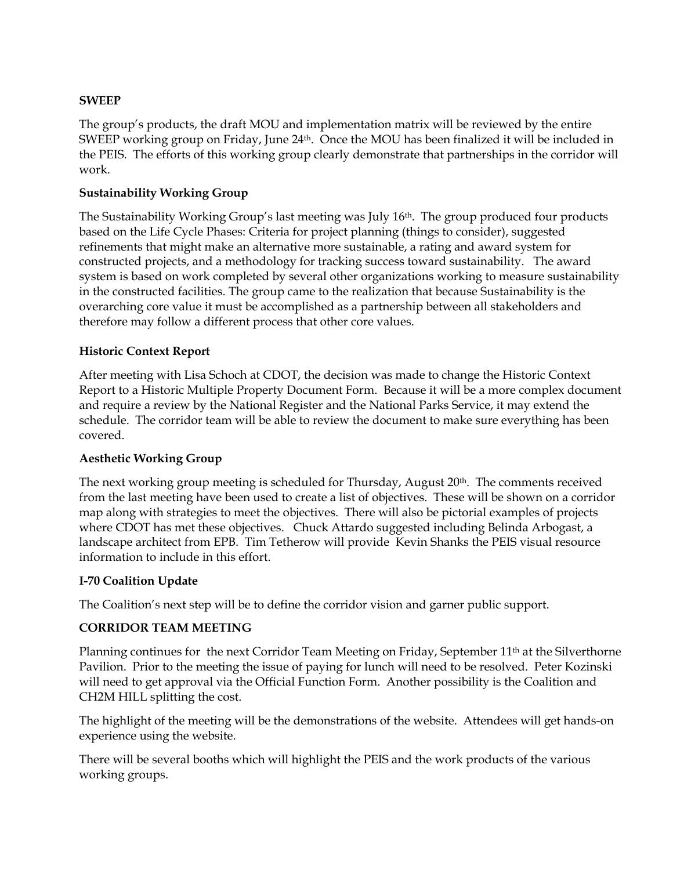#### **SWEEP**

The group's products, the draft MOU and implementation matrix will be reviewed by the entire SWEEP working group on Friday, June 24<sup>th</sup>. Once the MOU has been finalized it will be included in the PEIS. The efforts of this working group clearly demonstrate that partnerships in the corridor will work.

#### **Sustainability Working Group**

The Sustainability Working Group's last meeting was July 16th. The group produced four products based on the Life Cycle Phases: Criteria for project planning (things to consider), suggested refinements that might make an alternative more sustainable, a rating and award system for constructed projects, and a methodology for tracking success toward sustainability. The award system is based on work completed by several other organizations working to measure sustainability in the constructed facilities. The group came to the realization that because Sustainability is the overarching core value it must be accomplished as a partnership between all stakeholders and therefore may follow a different process that other core values.

#### **Historic Context Report**

After meeting with Lisa Schoch at CDOT, the decision was made to change the Historic Context Report to a Historic Multiple Property Document Form. Because it will be a more complex document and require a review by the National Register and the National Parks Service, it may extend the schedule. The corridor team will be able to review the document to make sure everything has been covered.

#### **Aesthetic Working Group**

The next working group meeting is scheduled for Thursday, August  $20<sup>th</sup>$ . The comments received from the last meeting have been used to create a list of objectives. These will be shown on a corridor map along with strategies to meet the objectives. There will also be pictorial examples of projects where CDOT has met these objectives. Chuck Attardo suggested including Belinda Arbogast, a landscape architect from EPB. Tim Tetherow will provide Kevin Shanks the PEIS visual resource information to include in this effort.

#### **I-70 Coalition Update**

The Coalition's next step will be to define the corridor vision and garner public support.

#### **CORRIDOR TEAM MEETING**

Planning continues for the next Corridor Team Meeting on Friday, September 11<sup>th</sup> at the Silverthorne Pavilion. Prior to the meeting the issue of paying for lunch will need to be resolved. Peter Kozinski will need to get approval via the Official Function Form. Another possibility is the Coalition and CH2M HILL splitting the cost.

The highlight of the meeting will be the demonstrations of the website. Attendees will get hands-on experience using the website.

There will be several booths which will highlight the PEIS and the work products of the various working groups.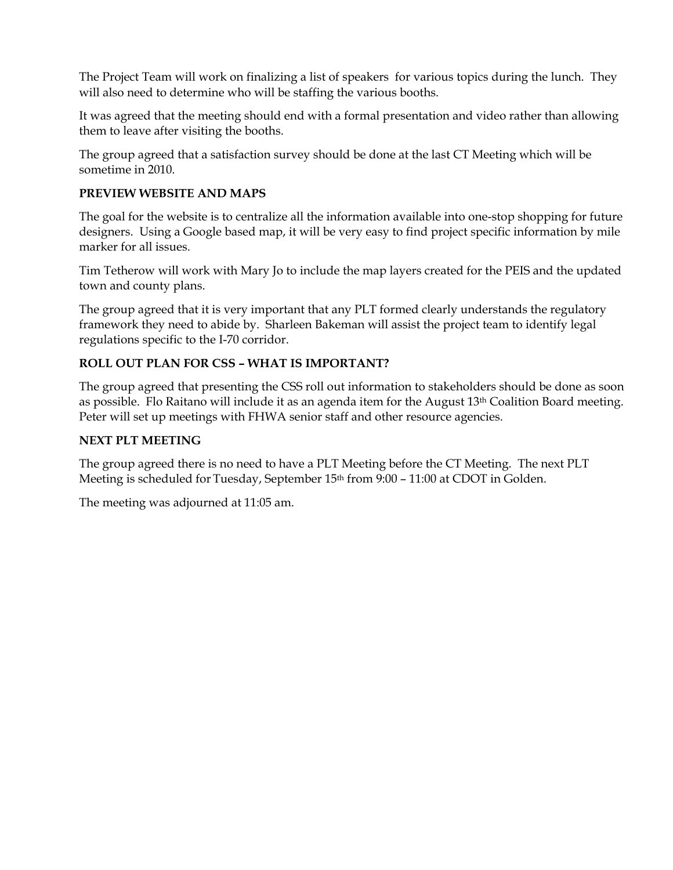The Project Team will work on finalizing a list of speakers for various topics during the lunch. They will also need to determine who will be staffing the various booths.

It was agreed that the meeting should end with a formal presentation and video rather than allowing them to leave after visiting the booths.

The group agreed that a satisfaction survey should be done at the last CT Meeting which will be sometime in 2010.

#### **PREVIEW WEBSITE AND MAPS**

The goal for the website is to centralize all the information available into one-stop shopping for future designers. Using a Google based map, it will be very easy to find project specific information by mile marker for all issues.

Tim Tetherow will work with Mary Jo to include the map layers created for the PEIS and the updated town and county plans.

The group agreed that it is very important that any PLT formed clearly understands the regulatory framework they need to abide by. Sharleen Bakeman will assist the project team to identify legal regulations specific to the I-70 corridor.

#### **ROLL OUT PLAN FOR CSS – WHAT IS IMPORTANT?**

The group agreed that presenting the CSS roll out information to stakeholders should be done as soon as possible. Flo Raitano will include it as an agenda item for the August 13<sup>th</sup> Coalition Board meeting. Peter will set up meetings with FHWA senior staff and other resource agencies.

#### **NEXT PLT MEETING**

The group agreed there is no need to have a PLT Meeting before the CT Meeting. The next PLT Meeting is scheduled for Tuesday, September 15th from 9:00 – 11:00 at CDOT in Golden.

The meeting was adjourned at 11:05 am.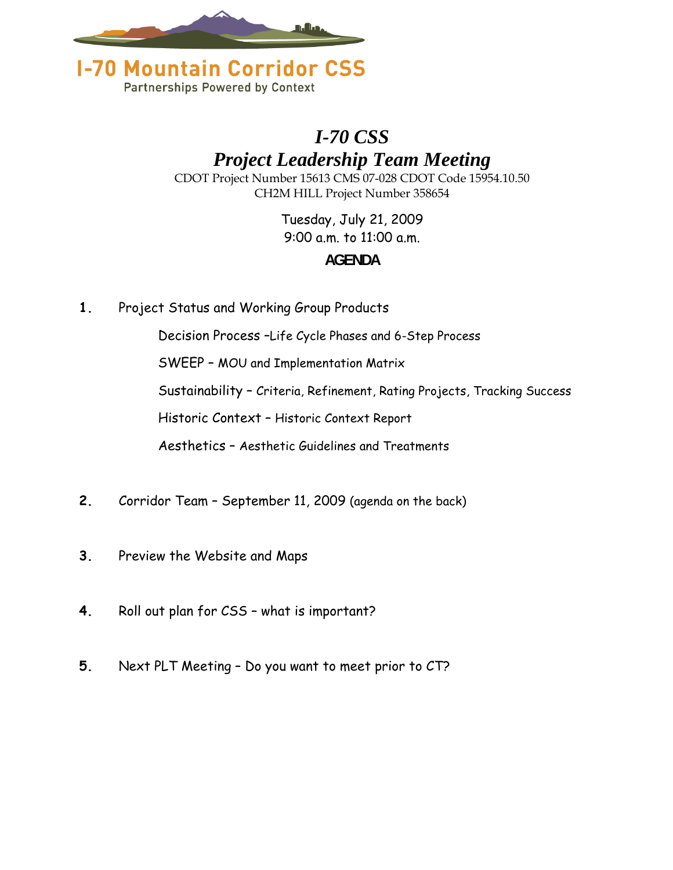



## *I-70 CSS Project Leadership Team Meeting*

CDOT Project Number 15613 CMS 07-028 CDOT Code 15954.10.50 CH2M HILL Project Number 358654

### Tuesday, July 21, 2009 9:00 a.m. to 11:00 a.m. **AGENDA**

**1.** Project Status and Working Group Products

Decision Process –Life Cycle Phases and 6-Step Process

SWEEP – MOU and Implementation Matrix

Sustainability – Criteria, Refinement, Rating Projects, Tracking Success

Historic Context – Historic Context Report

Aesthetics – Aesthetic Guidelines and Treatments

- **2.** Corridor Team September 11, 2009 (agenda on the back)
- **3.** Preview the Website and Maps
- **4.** Roll out plan for CSS what is important?
- **5.** Next PLT Meeting Do you want to meet prior to CT?